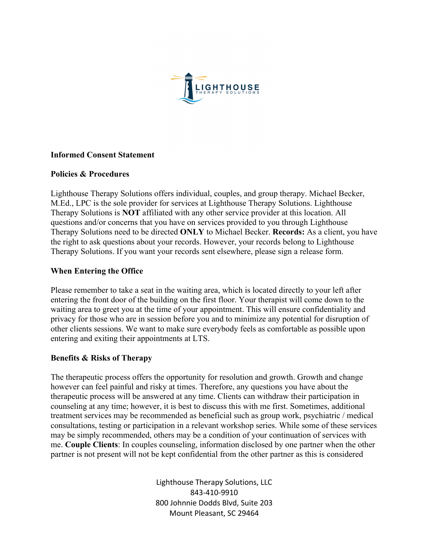

### **Informed Consent Statement**

## **Policies & Procedures**

Lighthouse Therapy Solutions offers individual, couples, and group therapy. Michael Becker, M.Ed., LPC is the sole provider for services at Lighthouse Therapy Solutions. Lighthouse Therapy Solutions is **NOT** affiliated with any other service provider at this location. All questions and/or concerns that you have on services provided to you through Lighthouse Therapy Solutions need to be directed **ONLY** to Michael Becker. **Records:** As a client, you have the right to ask questions about your records. However, your records belong to Lighthouse Therapy Solutions. If you want your records sent elsewhere, please sign a release form.

## **When Entering the Office**

Please remember to take a seat in the waiting area, which is located directly to your left after entering the front door of the building on the first floor. Your therapist will come down to the waiting area to greet you at the time of your appointment. This will ensure confidentiality and privacy for those who are in session before you and to minimize any potential for disruption of other clients sessions. We want to make sure everybody feels as comfortable as possible upon entering and exiting their appointments at LTS.

# **Benefits & Risks of Therapy**

The therapeutic process offers the opportunity for resolution and growth. Growth and change however can feel painful and risky at times. Therefore, any questions you have about the therapeutic process will be answered at any time. Clients can withdraw their participation in counseling at any time; however, it is best to discuss this with me first. Sometimes, additional treatment services may be recommended as beneficial such as group work, psychiatric / medical consultations, testing or participation in a relevant workshop series. While some of these services may be simply recommended, others may be a condition of your continuation of services with me. **Couple Clients**: In couples counseling, information disclosed by one partner when the other partner is not present will not be kept confidential from the other partner as this is considered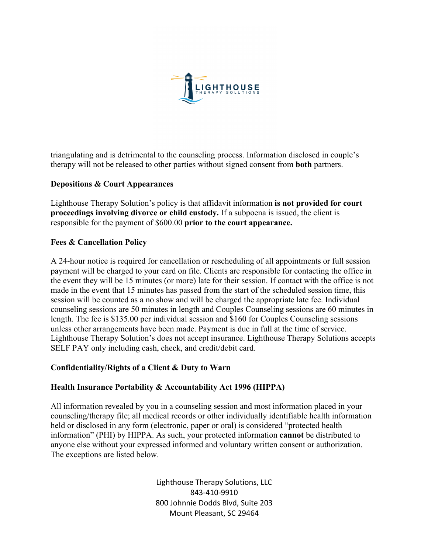

triangulating and is detrimental to the counseling process. Information disclosed in couple's therapy will not be released to other parties without signed consent from **both** partners.

## **Depositions & Court Appearances**

Lighthouse Therapy Solution's policy is that affidavit information **is not provided for court proceedings involving divorce or child custody.** If a subpoena is issued, the client is responsible for the payment of \$600.00 **prior to the court appearance.**

## **Fees & Cancellation Policy**

A 24-hour notice is required for cancellation or rescheduling of all appointments or full session payment will be charged to your card on file. Clients are responsible for contacting the office in the event they will be 15 minutes (or more) late for their session. If contact with the office is not made in the event that 15 minutes has passed from the start of the scheduled session time, this session will be counted as a no show and will be charged the appropriate late fee. Individual counseling sessions are 50 minutes in length and Couples Counseling sessions are 60 minutes in length. The fee is \$135.00 per individual session and \$160 for Couples Counseling sessions unless other arrangements have been made. Payment is due in full at the time of service. Lighthouse Therapy Solution's does not accept insurance. Lighthouse Therapy Solutions accepts SELF PAY only including cash, check, and credit/debit card.

### **Confidentiality/Rights of a Client & Duty to Warn**

### **Health Insurance Portability & Accountability Act 1996 (HIPPA)**

All information revealed by you in a counseling session and most information placed in your counseling/therapy file; all medical records or other individually identifiable health information held or disclosed in any form (electronic, paper or oral) is considered "protected health information" (PHI) by HIPPA. As such, your protected information **cannot** be distributed to anyone else without your expressed informed and voluntary written consent or authorization. The exceptions are listed below.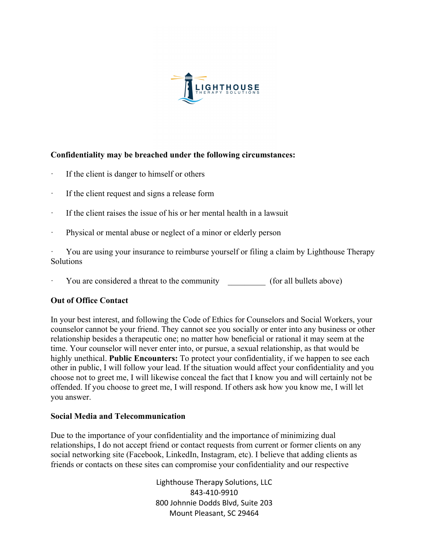

## **Confidentiality may be breached under the following circumstances:**

- If the client is danger to himself or others
- · If the client request and signs a release form
- · If the client raises the issue of his or her mental health in a lawsuit
- · Physical or mental abuse or neglect of a minor or elderly person

· You are using your insurance to reimburse yourself or filing a claim by Lighthouse Therapy Solutions

You are considered a threat to the community (for all bullets above)

### **Out of Office Contact**

In your best interest, and following the Code of Ethics for Counselors and Social Workers, your counselor cannot be your friend. They cannot see you socially or enter into any business or other relationship besides a therapeutic one; no matter how beneficial or rational it may seem at the time. Your counselor will never enter into, or pursue, a sexual relationship, as that would be highly unethical. **Public Encounters:** To protect your confidentiality, if we happen to see each other in public, I will follow your lead. If the situation would affect your confidentiality and you choose not to greet me, I will likewise conceal the fact that I know you and will certainly not be offended. If you choose to greet me, I will respond. If others ask how you know me, I will let you answer.

### **Social Media and Telecommunication**

Due to the importance of your confidentiality and the importance of minimizing dual relationships, I do not accept friend or contact requests from current or former clients on any social networking site (Facebook, LinkedIn, Instagram, etc). I believe that adding clients as friends or contacts on these sites can compromise your confidentiality and our respective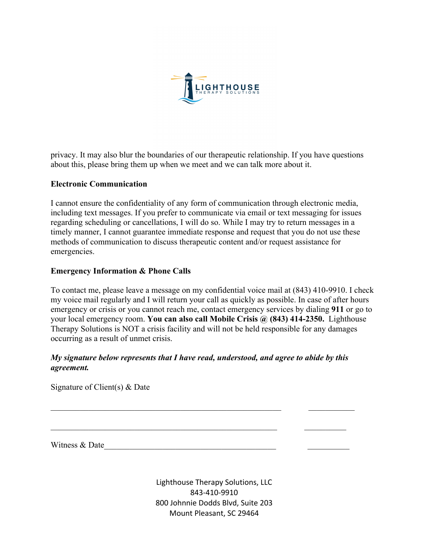

privacy. It may also blur the boundaries of our therapeutic relationship. If you have questions about this, please bring them up when we meet and we can talk more about it.

## **Electronic Communication**

I cannot ensure the confidentiality of any form of communication through electronic media, including text messages. If you prefer to communicate via email or text messaging for issues regarding scheduling or cancellations, I will do so. While I may try to return messages in a timely manner, I cannot guarantee immediate response and request that you do not use these methods of communication to discuss therapeutic content and/or request assistance for emergencies.

## **Emergency Information & Phone Calls**

To contact me, please leave a message on my confidential voice mail at (843) 410-9910. I check my voice mail regularly and I will return your call as quickly as possible. In case of after hours emergency or crisis or you cannot reach me, contact emergency services by dialing **911** or go to your local emergency room. **You can also call Mobile Crisis @ (843) 414-2350.** Lighthouse Therapy Solutions is NOT a crisis facility and will not be held responsible for any damages occurring as a result of unmet crisis.

# *My signature below represents that I have read, understood, and agree to abide by this agreement.*

Signature of Client(s) & Date

Witness & Date